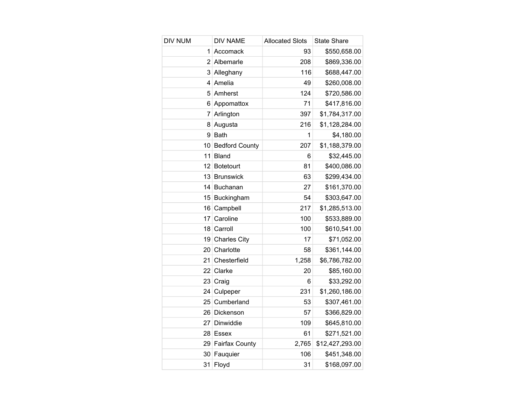| <b>DIV NUM</b> | <b>DIV NAME</b>       | <b>Allocated Slots</b> | <b>State Share</b> |
|----------------|-----------------------|------------------------|--------------------|
| 1              | Accomack              | 93                     | \$550,658.00       |
| 2              | Albemarle             | 208                    | \$869,336.00       |
| 3              | Alleghany             | 116                    | \$688,447.00       |
| 4              | Amelia                | 49                     | \$260,008.00       |
| 5              | Amherst               | 124                    | \$720,586.00       |
| 6              | Appomattox            | 71                     | \$417,816.00       |
| 7              | Arlington             | 397                    | \$1,784,317.00     |
| 8              | Augusta               | 216                    | \$1,128,284.00     |
| 9              | <b>Bath</b>           | 1                      | \$4,180.00         |
| 10             | <b>Bedford County</b> | 207                    | \$1,188,379.00     |
| 11             | <b>Bland</b>          | 6                      | \$32,445.00        |
| 12             | <b>Botetourt</b>      | 81                     | \$400,086.00       |
| 13             | <b>Brunswick</b>      | 63                     | \$299,434.00       |
| 14             | Buchanan              | 27                     | \$161,370.00       |
| 15             | Buckingham            | 54                     | \$303,647.00       |
| 16             | Campbell              | 217                    | \$1,285,513.00     |
| 17             | Caroline              | 100                    | \$533,889.00       |
| 18             | Carroll               | 100                    | \$610,541.00       |
| 19             | <b>Charles City</b>   | 17                     | \$71,052.00        |
| 20             | Charlotte             | 58                     | \$361,144.00       |
| 21             | Chesterfield          | 1,258                  | \$6,786,782.00     |
| 22             | Clarke                | 20                     | \$85,160.00        |
| 23             | Craig                 | 6                      | \$33,292.00        |
| 24             | Culpeper              | 231                    | \$1,260,186.00     |
| 25             | Cumberland            | 53                     | \$307,461.00       |
| 26             | Dickenson             | 57                     | \$366,829.00       |
| 27             | Dinwiddie             | 109                    | \$645,810.00       |
| 28             | Essex                 | 61                     | \$271,521.00       |
| 29             | Fairfax County        | 2,765                  | \$12,427,293.00    |
| 30             | Fauquier              | 106                    | \$451,348.00       |
| 31             | Floyd                 | 31                     | \$168,097.00       |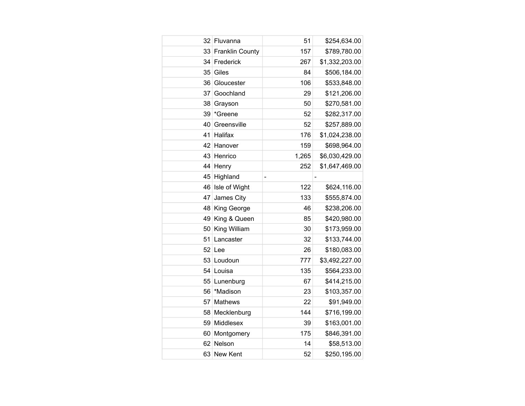| 32 | Fluvanna               | 51                       | \$254,634.00   |
|----|------------------------|--------------------------|----------------|
| 33 | <b>Franklin County</b> | 157                      | \$789,780.00   |
| 34 | Frederick              | 267                      | \$1,332,203.00 |
| 35 | Giles                  | 84                       | \$506,184.00   |
| 36 | Gloucester             | 106                      | \$533,848.00   |
| 37 | Goochland              | 29                       | \$121,206.00   |
| 38 | Grayson                | 50                       | \$270,581.00   |
| 39 | *Greene                | 52                       | \$282,317.00   |
| 40 | Greensville            | 52                       | \$257,889.00   |
| 41 | Halifax                | 176                      | \$1,024,238.00 |
| 42 | Hanover                | 159                      | \$698,964.00   |
| 43 | Henrico                | 1,265                    | \$6,030,429.00 |
| 44 | Henry                  | 252                      | \$1,647,469.00 |
| 45 | Highland               | $\overline{\phantom{0}}$ |                |
| 46 | Isle of Wight          | 122                      | \$624,116.00   |
| 47 | James City             | 133                      | \$555,874.00   |
| 48 | King George            | 46                       | \$238,206.00   |
| 49 | King & Queen           | 85                       | \$420,980.00   |
| 50 | King William           | 30                       | \$173,959.00   |
| 51 | Lancaster              | 32                       | \$133,744.00   |
| 52 | Lee                    | 26                       | \$180,083.00   |
| 53 | Loudoun                | 777                      | \$3,492,227.00 |
| 54 | Louisa                 | 135                      | \$564,233.00   |
| 55 | Lunenburg              | 67                       | \$414,215.00   |
| 56 | *Madison               | 23                       | \$103,357.00   |
| 57 | <b>Mathews</b>         | 22                       | \$91,949.00    |
| 58 | Mecklenburg            | 144                      | \$716,199.00   |
| 59 | Middlesex              | 39                       | \$163,001.00   |
| 60 | Montgomery             | 175                      | \$846,391.00   |
| 62 | Nelson                 | 14                       | \$58,513.00    |
|    | 63 New Kent            | 52                       | \$250,195.00   |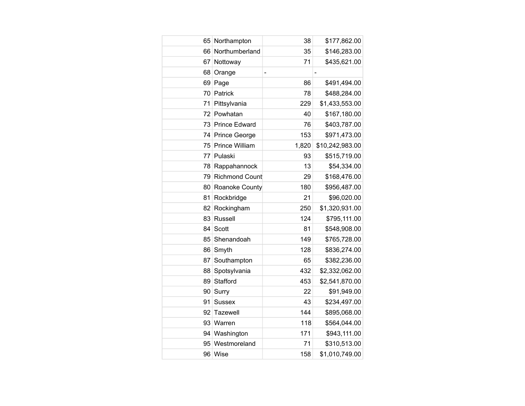| 65  | Northampton           | 38    | \$177,862.00    |
|-----|-----------------------|-------|-----------------|
| 66  | Northumberland        | 35    | \$146,283.00    |
| 67  | Nottoway              | 71    | \$435,621.00    |
| 68  | Orange                | -     |                 |
| 69  | Page                  | 86    | \$491,494.00    |
| 70  | Patrick               | 78    | \$488,284.00    |
| 71  | Pittsylvania          | 229   | \$1,433,553.00  |
| 72  | Powhatan              | 40    | \$167,180.00    |
|     | 73 Prince Edward      | 76    | \$403,787.00    |
| 74  | <b>Prince George</b>  | 153   | \$971,473.00    |
| 75  | Prince William        | 1,820 | \$10,242,983.00 |
| 77  | Pulaski               | 93    | \$515,719.00    |
| 78  | Rappahannock          | 13    | \$54,334.00     |
| 79. | <b>Richmond Count</b> | 29    | \$168,476.00    |
| 80  | Roanoke County        | 180   | \$956,487.00    |
| 81  | Rockbridge            | 21    | \$96,020.00     |
| 82  | Rockingham            | 250   | \$1,320,931.00  |
| 83  | Russell               | 124   | \$795,111.00    |
| 84  | Scott                 | 81    | \$548,908.00    |
| 85  | Shenandoah            | 149   | \$765,728.00    |
| 86  | Smyth                 | 128   | \$836,274.00    |
| 87  | Southampton           | 65    | \$382,236.00    |
| 88  | Spotsylvania          | 432   | \$2,332,062.00  |
| 89  | Stafford              | 453   | \$2,541,870.00  |
| 90  | Surry                 | 22    | \$91,949.00     |
| 91  | <b>Sussex</b>         | 43    | \$234,497.00    |
| 92  | Tazewell              | 144   | \$895,068.00    |
| 93  | Warren                | 118   | \$564,044.00    |
| 94  | Washington            | 171   | \$943,111.00    |
| 95  | Westmoreland          | 71    | \$310,513.00    |
|     | 96 Wise               | 158   | \$1,010,749.00  |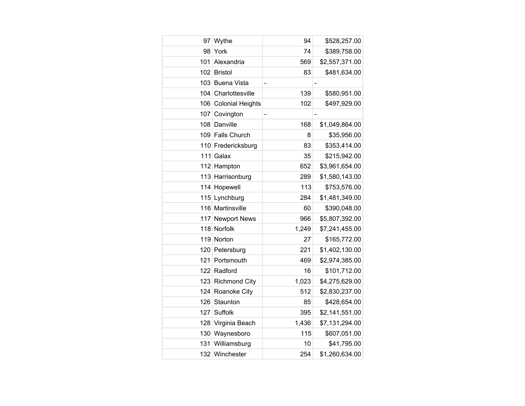| 97  | Wythe                   | 94                           | \$528,257.00   |
|-----|-------------------------|------------------------------|----------------|
| 98  | York                    | 74                           | \$389,758.00   |
| 101 | Alexandria              | 569                          | \$2,557,371.00 |
| 102 | <b>Bristol</b>          | 83                           | \$481,634.00   |
| 103 | <b>Buena Vista</b>      | $\overline{\phantom{0}}$     |                |
| 104 | Charlottesville         | 139                          | \$580,951.00   |
| 106 | <b>Colonial Heights</b> | 102                          | \$497,929.00   |
| 107 | Covington               | $\qquad \qquad \blacksquare$ |                |
| 108 | Danville                | 168                          | \$1,049,864.00 |
|     | 109 Falls Church        | 8                            | \$35,956.00    |
|     | 110 Fredericksburg      | 83                           | \$353,414.00   |
| 111 | Galax                   | 35                           | \$215,942.00   |
|     | 112 Hampton             | 652                          | \$3,961,654.00 |
|     | 113 Harrisonburg        | 289                          | \$1,580,143.00 |
|     | 114 Hopewell            | 113                          | \$753,576.00   |
| 115 | Lynchburg               | 284                          | \$1,481,349.00 |
| 116 | Martinsville            | 60                           | \$390,048.00   |
| 117 | <b>Newport News</b>     | 966                          | \$5,807,392.00 |
|     | 118 Norfolk             | 1,249                        | \$7,241,455.00 |
|     | 119 Norton              | 27                           | \$165,772.00   |
| 120 | Petersburg              | 221                          | \$1,402,130.00 |
| 121 | Portsmouth              | 469                          | \$2,974,385.00 |
| 122 | Radford                 | 16                           | \$101,712.00   |
|     | 123 Richmond City       | 1,023                        | \$4,275,629.00 |
| 124 | Roanoke City            | 512                          | \$2,830,237.00 |
| 126 | Staunton                | 85                           | \$428,654.00   |
| 127 | Suffolk                 | 395                          | \$2,141,551.00 |
| 128 | Virginia Beach          | 1,436                        | \$7,131,294.00 |
| 130 | Waynesboro              | 115                          | \$607,051.00   |
| 131 | Williamsburg            | 10                           | \$41,795.00    |
| 132 | Winchester              | 254                          | \$1,260,634.00 |